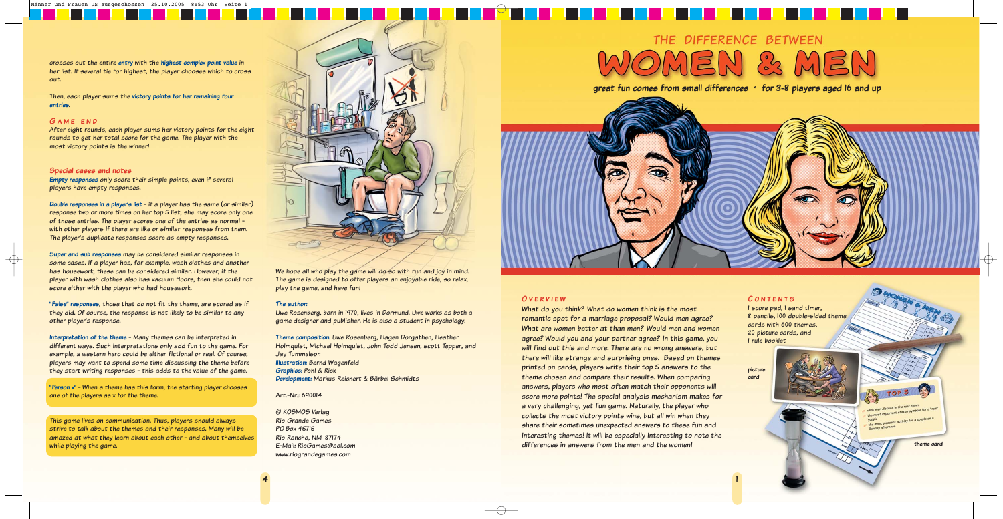The game is designed to offer players an enjoyable ride, so relax, play the game, and have fun!

#### **The author:**

Uwe Rosenberg, born in 1970, lives in Dormund. Uwe works as both a game designer and publisher. He is also a student in psychology.

**Theme composition:** Uwe Rosenberg, Hagen Dorgathen, Heather Holmquist, Michael Holmquist, John Todd Jensen, scott Tepper, and Jay Tummelson **Illustration:** Bernd Wagenfeld **Graphics:** Pohl & Rick

**Development:** Markus Reichert & Bärbel Schmidts

Art.-Nr.: 690014

© KOSMOS Verlag Rio Grande Games PO Box 45715 Rio Rancho, NM 87174 E-Mail: RioGames@aol.com www.riograndegames.com



### **Overview**

What do you think? What do women think is the most romantic spot for a marriage proposal? Would men agree? What are women better at than men? Would men and women agree? Would you and your partner agree? In this game, you will find out this and more. There are no wrong answers, but there will like strange and surprising ones. Based on themes printed on cards, players write their top 5 answers to the theme chosen and compare their results. When comparing answers, players who most often match their opponents will score more points! The special analysis mechanism makes for a very challenging, yet fun game. Naturally, the player who collects the most victory points wins, but all win when they share their sometimes unexpected answers to these fun and interesting themes! It will be especially interesting to note the differences in answers from the men and the women!

#### **Contents** 1 score pad, 1 sand timer,

8 pencils, 100 double-sided theme cards with 600 themes, 20 picture cards, and 1 rule booklet

**great fun comes from small differences ° for 3-8 players aged 16 and up**

# DIFFERENCE BETWEEN THE

crosses out the entire **entry** with the **highest complex point value** in her list. If several tie for highest, the player chooses which to cross out.

Then, each player sums the **victory points for her remaining four entries**.

#### **Game end**

 $\bigoplus$ 

After eight rounds, each player sums her victory points for the eight rounds to get her total score for the game. The player with the most victory points is the winner!

#### **Special cases and notes**

**Empty responses** only score their simple points, even if several players have empty responses.

**Double responses in a player's list** - if a player has the same (or similar) response two or more times on her top 5 list, she may score only one of those entries. The player scores one of the entries as normal with other players if there are like or similar responses from them. The player's duplicate responses score as empty responses.

**Super and sub responses** may be considered similar responses in some cases. If a player has, for example, wash clothes and another has housework, these can be considered similar. However, if the player with wash clothes also has vacuum floors, then she could not score either with the player who had housework.

**"False" responses**, those that do not fit the theme, are scored as if they did. Of course, the response is not likely to be similar to any other player's response.

**Interpretation of the theme** - Many themes can be interpreted in different ways. Such interpretations only add fun to the game. For example, a western hero could be either fictional or real. Of course, players may want to spend some time discussing the theme before they start writing responses - this adds to the value of the game.

**"Person x"** - When a theme has this form, the starting player chooses one of the players as x for the theme.

This game lives on communication. Thus, players should always strive to talk about the themes and their responses. Many will be amazed at what they learn about each other - and about themselves while playing the game.

We hope all who play the game will do so with fun and joy in mind.

**picture card**



- the most mixed and activity for a couple on a<br>the most pleasant activity for a couple on a<br>the most pleasant activity
	-

**theme card**